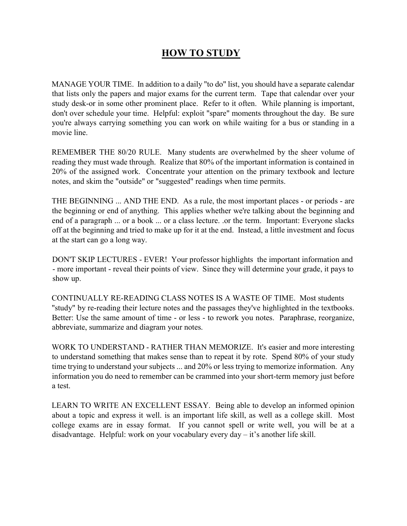## HOW TO STUDY

MANAGE YOUR TIME. In addition to a daily "to do" list, you should have a separate calendar that lists only the papers and major exams for the current term. Tape that calendar over your study desk-or in some other prominent place. Refer to it often. While planning is important, don't over schedule your time. Helpful: exploit "spare" moments throughout the day. Be sure you're always carrying something you can work on while waiting for a bus or standing in a movie line.

REMEMBER THE 80/20 RULE. Many students are overwhelmed by the sheer volume of reading they must wade through. Realize that 80% of the important information is contained in 20% of the assigned work. Concentrate your attention on the primary textbook and lecture notes, and skim the "outside" or "suggested" readings when time permits.

THE BEGINNING ... AND THE END. As a rule, the most important places - or periods - are the beginning or end of anything. This applies whether we're talking about the beginning and end of a paragraph ... or a book ... or a class lecture. .or the term. Important: Everyone slacks off at the beginning and tried to make up for it at the end. Instead, a little investment and focus at the start can go a long way.

DON'T SKIP LECTURES - EVER! Your professor highlights the important information and - more important - reveal their points of view. Since they will determine your grade, it pays to show up.

CONTINUALLY RE-READING CLASS NOTES IS A WASTE OF TIME. Most students "study" by re-reading their lecture notes and the passages they've highlighted in the textbooks. Better: Use the same amount of time - or less - to rework you notes. Paraphrase, reorganize, abbreviate, summarize and diagram your notes.

WORK TO UNDERSTAND - RATHER THAN MEMORIZE. It's easier and more interesting to understand something that makes sense than to repeat it by rote. Spend 80% of your study time trying to understand your subjects ... and 20% or less trying to memorize information. Any information you do need to remember can be crammed into your short-term memory just before a test.

LEARN TO WRITE AN EXCELLENT ESSAY. Being able to develop an informed opinion about a topic and express it well. is an important life skill, as well as a college skill. Most college exams are in essay format. If you cannot spell or write well, you will be at a disadvantage. Helpful: work on your vocabulary every day – it's another life skill.